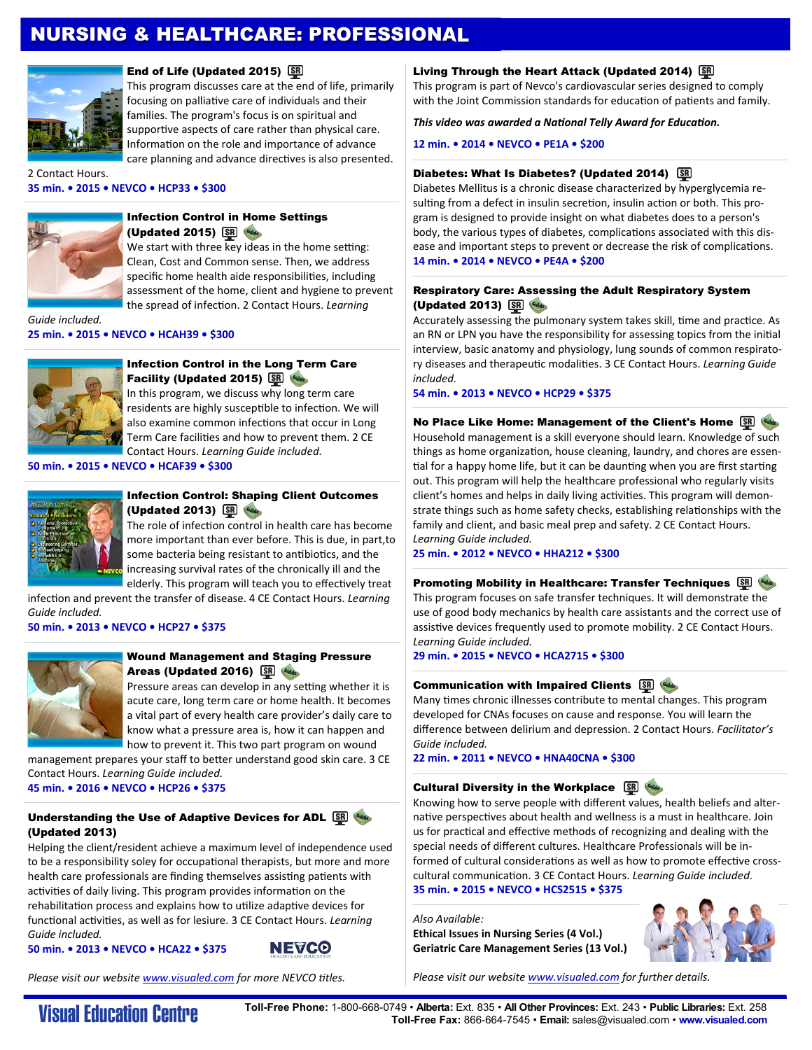# NURSING & HEALTHCARE: PROFESSIONAL



### End of Life (Updated 2015) SD

This program discusses care at the end of life, primarily focusing on palliative care of individuals and their families. The program's focus is on spiritual and supportive aspects of care rather than physical care. Information on the role and importance of advance care planning and advance directives is also presented.

2 Contact Hours. **35 min. • 2015 • NEVCO • HCP33 • \$300** 



#### Infection Control in Home Settings (Updated 2015) SR Wildes

We start with three key ideas in the home setting: Clean, Cost and Common sense. Then, we address specific home health aide responsibilities, including assessment of the home, client and hygiene to prevent the spread of infecƟon. 2 Contact Hours. *Learning* 

*Guide included.* **25 min. • 2015 • NEVCO • HCAH39 • \$300** 



## Infection Control in the Long Term Care Facility (Updated 2015) SRI

In this program, we discuss why long term care residents are highly susceptible to infection. We will also examine common infections that occur in Long Term Care facilities and how to prevent them. 2 CE Contact Hours. *Learning Guide included.*

**50 min. • 2015 • NEVCO • HCAF39 • \$300** 



### Infection Control: Shaping Client Outcomes (Updated 2013) SR (String

The role of infection control in health care has become more important than ever before. This is due, in part,to some bacteria being resistant to antibiotics, and the increasing survival rates of the chronically ill and the elderly. This program will teach you to effectively treat

infection and prevent the transfer of disease. 4 CE Contact Hours. *Learning Guide included.*

**50 min. • 2013 • NEVCO • HCP27 • \$375** 



## Wound Management and Staging Pressure Areas (Updated 2016) SR

Pressure areas can develop in any setting whether it is acute care, long term care or home health. It becomes a vital part of every health care provider's daily care to know what a pressure area is, how it can happen and how to prevent it. This two part program on wound

management prepares your staff to better understand good skin care. 3 CE Contact Hours. *Learning Guide included.*  **45 min. • 2016 • NEVCO • HCP26 • \$375** 

## Understanding the Use of Adaptive Devices for ADL SE WA (Updated 2013)

Helping the client/resident achieve a maximum level of independence used to be a responsibility soley for occupational therapists, but more and more health care professionals are finding themselves assisting patients with activities of daily living. This program provides information on the rehabilitation process and explains how to utilize adaptive devices for functional activities, as well as for lesiure. 3 CE Contact Hours. *Learning Guide included.*

**50 min. • 2013 • NEVCO • HCA22 • \$375** 



*Please visit our website www.visualed.com for more NEVCO titles.* 

## Living Through the Heart Attack (Updated 2014) S

This program is part of Nevco's cardiovascular series designed to comply with the Joint Commission standards for education of patients and family.

*This video was awarded a NaƟonal Telly Award for EducaƟon.* 

**12 min. • 2014 • NEVCO • PE1A • \$200** 

#### Diabetes: What Is Diabetes? (Updated 2014) SR

Diabetes Mellitus is a chronic disease characterized by hyperglycemia resulting from a defect in insulin secretion, insulin action or both. This program is designed to provide insight on what diabetes does to a person's body, the various types of diabetes, complications associated with this disease and important steps to prevent or decrease the risk of complications. **14 min. • 2014 • NEVCO • PE4A • \$200** 

#### Respiratory Care: Assessing the Adult Respiratory System (Updated 2013) SR Cuide

Accurately assessing the pulmonary system takes skill, time and practice. As an RN or LPN you have the responsibility for assessing topics from the initial interview, basic anatomy and physiology, lung sounds of common respiratory diseases and therapeuƟc modaliƟes. 3 CE Contact Hours. *Learning Guide included.*

**54 min. • 2013 • NEVCO • HCP29 • \$375** 

No Place Like Home: Management of the Client's Home SR

Household management is a skill everyone should learn. Knowledge of such things as home organization, house cleaning, laundry, and chores are essential for a happy home life, but it can be daunting when you are first starting out. This program will help the healthcare professional who regularly visits client's homes and helps in daily living activities. This program will demonstrate things such as home safety checks, establishing relationships with the family and client, and basic meal prep and safety. 2 CE Contact Hours. *Learning Guide included.* 

**25 min. • 2012 • NEVCO • HHA212 • \$300** 

#### **Promoting Mobility in Healthcare: Transfer Techniques SOP**

This program focuses on safe transfer techniques. It will demonstrate the use of good body mechanics by health care assistants and the correct use of assistive devices frequently used to promote mobility. 2 CE Contact Hours. *Learning Guide included.* 

**29 min. • 2015 • NEVCO • HCA2715 • \$300** 

## **Communication with Impaired Clients SRI**

Many times chronic illnesses contribute to mental changes. This program developed for CNAs focuses on cause and response. You will learn the difference between delirium and depression. 2 Contact Hours. *Facilitator's Guide included.* 

**22 min. • 2011 • NEVCO • HNA40CNA • \$300** 

## Cultural Diversity in the Workplace **SR**

Knowing how to serve people with different values, health beliefs and alternative perspectives about health and wellness is a must in healthcare. Join us for practical and effective methods of recognizing and dealing with the special needs of different cultures. Healthcare Professionals will be informed of cultural considerations as well as how to promote effective crosscultural communication. 3 CE Contact Hours. *Learning Guide included.* **35 min. • 2015 • NEVCO • HCS2515 • \$375** 

*Also Available:* 

**Ethical Issues in Nursing Series (4 Vol.) Geriatric Care Management Series (13 Vol.)** 



*Please visit our website www.visualed.com for further details.*

**Visual Education Centre** 

**Toll-Free Phone:** 1-800-668-0749 • **Alberta:** Ext. 835 • **All Other Provinces:** Ext. 243 • **Public Libraries:** Ext. 258 **Toll-Free Fax:** 866-664-7545 • **Email:** sales@visualed.com • **www.visualed.com**